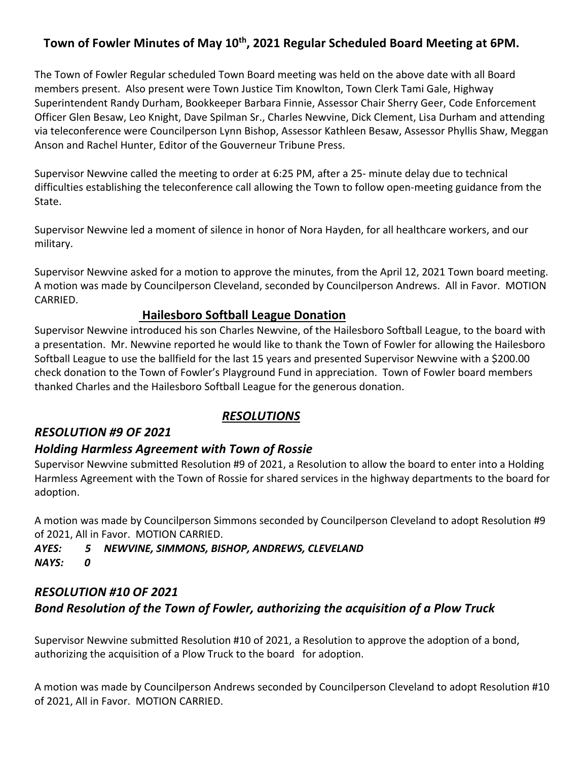## Town of Fowler Minutes of May 10<sup>th</sup>, 2021 Regular Scheduled Board Meeting at 6PM.

The Town of Fowler Regular scheduled Town Board meeting was held on the above date with all Board members present. Also present were Town Justice Tim Knowlton, Town Clerk Tami Gale, Highway Superintendent Randy Durham, Bookkeeper Barbara Finnie, Assessor Chair Sherry Geer, Code Enforcement Officer Glen Besaw, Leo Knight, Dave Spilman Sr., Charles Newvine, Dick Clement, Lisa Durham and attending via teleconference were Councilperson Lynn Bishop, Assessor Kathleen Besaw, Assessor Phyllis Shaw, Meggan Anson and Rachel Hunter, Editor of the Gouverneur Tribune Press.

Supervisor Newvine called the meeting to order at 6:25 PM, after a 25- minute delay due to technical difficulties establishing the teleconference call allowing the Town to follow open-meeting guidance from the State.

Supervisor Newvine led a moment of silence in honor of Nora Hayden, for all healthcare workers, and our military.

Supervisor Newvine asked for a motion to approve the minutes, from the April 12, 2021 Town board meeting. A motion was made by Councilperson Cleveland, seconded by Councilperson Andrews. All in Favor. MOTION CARRIED.

#### **Hailesboro Softball League Donation**

Supervisor Newvine introduced his son Charles Newvine, of the Hailesboro Softball League, to the board with a presentation. Mr. Newvine reported he would like to thank the Town of Fowler for allowing the Hailesboro Softball League to use the ballfield for the last 15 years and presented Supervisor Newvine with a \$200.00 check donation to the Town of Fowler's Playground Fund in appreciation. Town of Fowler board members thanked Charles and the Hailesboro Softball League for the generous donation.

## *RESOLUTION #9 OF 2021*

## *RESOLUTIONS*

## *Holding Harmless Agreement with Town of Rossie*

Supervisor Newvine submitted Resolution #9 of 2021, a Resolution to allow the board to enter into a Holding Harmless Agreement with the Town of Rossie for shared services in the highway departments to the board for adoption.

A motion was made by Councilperson Simmons seconded by Councilperson Cleveland to adopt Resolution #9 of 2021, All in Favor. MOTION CARRIED.

*AYES: 5 NEWVINE, SIMMONS, BISHOP, ANDREWS, CLEVELAND NAYS: 0*

# *RESOLUTION #10 OF 2021 Bond Resolution of the Town of Fowler, authorizing the acquisition of a Plow Truck*

Supervisor Newvine submitted Resolution #10 of 2021, a Resolution to approve the adoption of a bond, authorizing the acquisition of a Plow Truck to the board for adoption.

A motion was made by Councilperson Andrews seconded by Councilperson Cleveland to adopt Resolution #10 of 2021, All in Favor. MOTION CARRIED.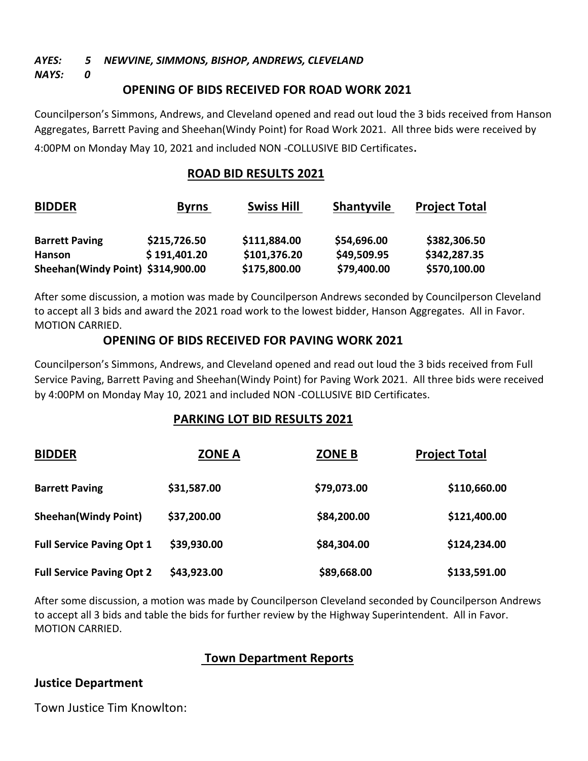#### *AYES: 5 NEWVINE, SIMMONS, BISHOP, ANDREWS, CLEVELAND*

*NAYS: 0*

#### **OPENING OF BIDS RECEIVED FOR ROAD WORK 2021**

Councilperson's Simmons, Andrews, and Cleveland opened and read out loud the 3 bids received from Hanson Aggregates, Barrett Paving and Sheehan(Windy Point) for Road Work 2021. All three bids were received by 4:00PM on Monday May 10, 2021 and included NON -COLLUSIVE BID Certificates.

#### **ROAD BID RESULTS 2021**

| <b>BIDDER</b>                     | <b>Byrns</b> | <b>Swiss Hill</b> | <b>Shantyvile</b> | <b>Project Total</b> |
|-----------------------------------|--------------|-------------------|-------------------|----------------------|
| <b>Barrett Paving</b>             | \$215,726.50 | \$111,884.00      | \$54,696.00       | \$382,306.50         |
| Hanson                            | \$191,401.20 | \$101,376.20      | \$49,509.95       | \$342,287.35         |
| Sheehan(Windy Point) \$314,900.00 |              | \$175,800.00      | \$79,400.00       | \$570,100.00         |

After some discussion, a motion was made by Councilperson Andrews seconded by Councilperson Cleveland to accept all 3 bids and award the 2021 road work to the lowest bidder, Hanson Aggregates. All in Favor. MOTION CARRIED.

#### **OPENING OF BIDS RECEIVED FOR PAVING WORK 2021**

Councilperson's Simmons, Andrews, and Cleveland opened and read out loud the 3 bids received from Full Service Paving, Barrett Paving and Sheehan(Windy Point) for Paving Work 2021. All three bids were received by 4:00PM on Monday May 10, 2021 and included NON -COLLUSIVE BID Certificates.

#### **PARKING LOT BID RESULTS 2021**

| <b>BIDDER</b>                    | <b>ZONE A</b> | <b>ZONE B</b> | <b>Project Total</b> |
|----------------------------------|---------------|---------------|----------------------|
| <b>Barrett Paving</b>            | \$31,587.00   | \$79,073.00   | \$110,660.00         |
| <b>Sheehan(Windy Point)</b>      | \$37,200.00   | \$84,200.00   | \$121,400.00         |
| <b>Full Service Paving Opt 1</b> | \$39,930.00   | \$84,304.00   | \$124,234.00         |
| <b>Full Service Paving Opt 2</b> | \$43,923.00   | \$89,668.00   | \$133,591.00         |

After some discussion, a motion was made by Councilperson Cleveland seconded by Councilperson Andrews to accept all 3 bids and table the bids for further review by the Highway Superintendent. All in Favor. MOTION CARRIED.

## **Town Department Reports**

#### **Justice Department**

Town Justice Tim Knowlton: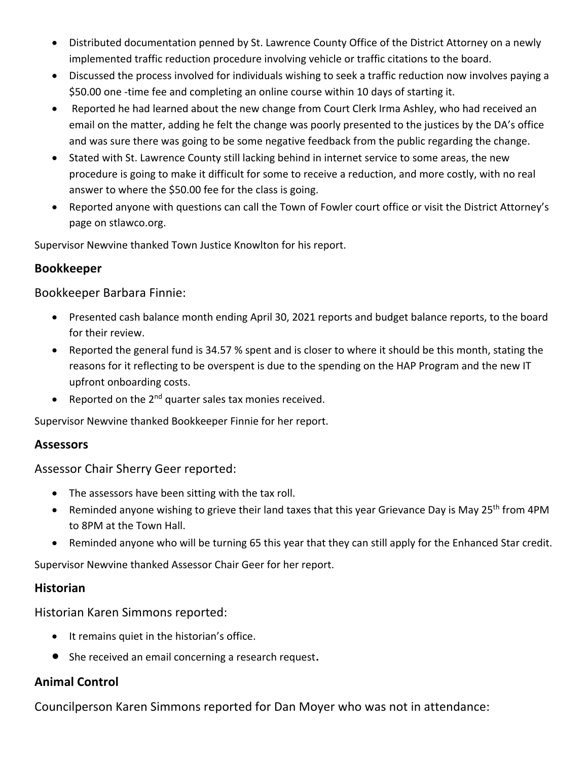- Distributed documentation penned by St. Lawrence County Office of the District Attorney on a newly implemented traffic reduction procedure involving vehicle or traffic citations to the board.
- Discussed the process involved for individuals wishing to seek a traffic reduction now involves paying a \$50.00 one -time fee and completing an online course within 10 days of starting it.
- Reported he had learned about the new change from Court Clerk Irma Ashley, who had received an email on the matter, adding he felt the change was poorly presented to the justices by the DA's office and was sure there was going to be some negative feedback from the public regarding the change.
- Stated with St. Lawrence County still lacking behind in internet service to some areas, the new procedure is going to make it difficult for some to receive a reduction, and more costly, with no real answer to where the \$50.00 fee for the class is going.
- Reported anyone with questions can call the Town of Fowler court office or visit the District Attorney's page on stlawco.org.

Supervisor Newvine thanked Town Justice Knowlton for his report.

## **Bookkeeper**

Bookkeeper Barbara Finnie:

- Presented cash balance month ending April 30, 2021 reports and budget balance reports, to the board for their review.
- Reported the general fund is 34.57 % spent and is closer to where it should be this month, stating the reasons for it reflecting to be overspent is due to the spending on the HAP Program and the new IT upfront onboarding costs.
- Reported on the  $2^{nd}$  quarter sales tax monies received.

Supervisor Newvine thanked Bookkeeper Finnie for her report.

## **Assessors**

Assessor Chair Sherry Geer reported:

- The assessors have been sitting with the tax roll.
- Reminded anyone wishing to grieve their land taxes that this year Grievance Day is May 25<sup>th</sup> from 4PM to 8PM at the Town Hall.
- Reminded anyone who will be turning 65 this year that they can still apply for the Enhanced Star credit.

Supervisor Newvine thanked Assessor Chair Geer for her report.

## **Historian**

Historian Karen Simmons reported:

- It remains quiet in the historian's office.
- She received an email concerning a research request.

# **Animal Control**

Councilperson Karen Simmons reported for Dan Moyer who was not in attendance: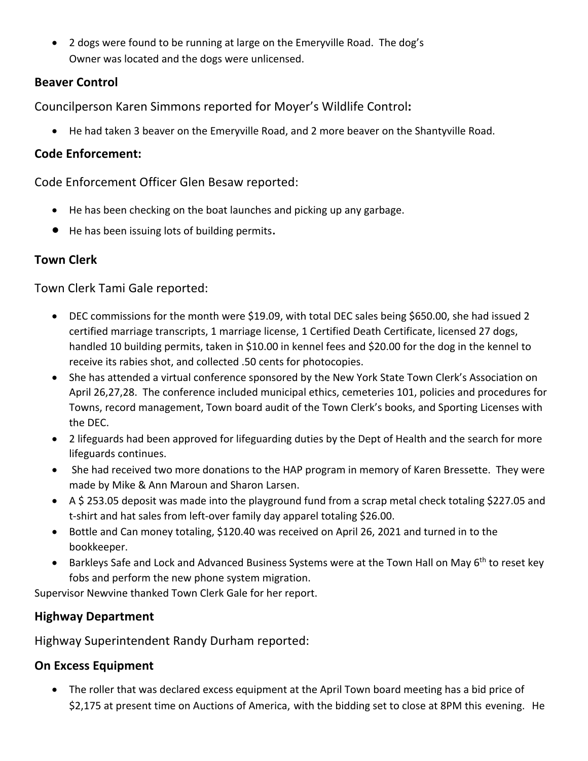• 2 dogs were found to be running at large on the Emeryville Road. The dog's Owner was located and the dogs were unlicensed.

#### **Beaver Control**

Councilperson Karen Simmons reported for Moyer's Wildlife Control**:**

• He had taken 3 beaver on the Emeryville Road, and 2 more beaver on the Shantyville Road.

#### **Code Enforcement:**

Code Enforcement Officer Glen Besaw reported:

- He has been checking on the boat launches and picking up any garbage.
- He has been issuing lots of building permits.

## **Town Clerk**

Town Clerk Tami Gale reported:

- DEC commissions for the month were \$19.09, with total DEC sales being \$650.00, she had issued 2 certified marriage transcripts, 1 marriage license, 1 Certified Death Certificate, licensed 27 dogs, handled 10 building permits, taken in \$10.00 in kennel fees and \$20.00 for the dog in the kennel to receive its rabies shot, and collected .50 cents for photocopies.
- She has attended a virtual conference sponsored by the New York State Town Clerk's Association on April 26,27,28. The conference included municipal ethics, cemeteries 101, policies and procedures for Towns, record management, Town board audit of the Town Clerk's books, and Sporting Licenses with the DEC.
- 2 lifeguards had been approved for lifeguarding duties by the Dept of Health and the search for more lifeguards continues.
- She had received two more donations to the HAP program in memory of Karen Bressette. They were made by Mike & Ann Maroun and Sharon Larsen.
- A \$ 253.05 deposit was made into the playground fund from a scrap metal check totaling \$227.05 and t-shirt and hat sales from left-over family day apparel totaling \$26.00.
- Bottle and Can money totaling, \$120.40 was received on April 26, 2021 and turned in to the bookkeeper.
- Barkleys Safe and Lock and Advanced Business Systems were at the Town Hall on May 6<sup>th</sup> to reset key fobs and perform the new phone system migration.

Supervisor Newvine thanked Town Clerk Gale for her report.

## **Highway Department**

Highway Superintendent Randy Durham reported:

## **On Excess Equipment**

• The roller that was declared excess equipment at the April Town board meeting has a bid price of \$2,175 at present time on Auctions of America, with the bidding set to close at 8PM this evening. He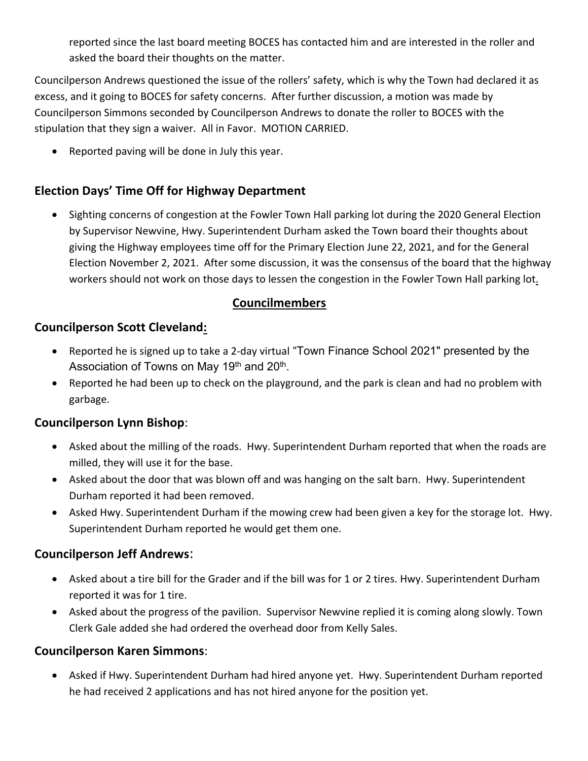reported since the last board meeting BOCES has contacted him and are interested in the roller and asked the board their thoughts on the matter.

Councilperson Andrews questioned the issue of the rollers' safety, which is why the Town had declared it as excess, and it going to BOCES for safety concerns. After further discussion, a motion was made by Councilperson Simmons seconded by Councilperson Andrews to donate the roller to BOCES with the stipulation that they sign a waiver. All in Favor. MOTION CARRIED.

• Reported paving will be done in July this year.

## **Election Days' Time Off for Highway Department**

• Sighting concerns of congestion at the Fowler Town Hall parking lot during the 2020 General Election by Supervisor Newvine, Hwy. Superintendent Durham asked the Town board their thoughts about giving the Highway employees time off for the Primary Election June 22, 2021, and for the General Election November 2, 2021. After some discussion, it was the consensus of the board that the highway workers should not work on those days to lessen the congestion in the Fowler Town Hall parking lot.

## **Councilmembers**

## **Councilperson Scott Cleveland:**

- Reported he is signed up to take a 2-day virtual "Town Finance School 2021" presented by the Association of Towns on May 19<sup>th</sup> and 20<sup>th</sup>.
- Reported he had been up to check on the playground, and the park is clean and had no problem with garbage.

## **Councilperson Lynn Bishop**:

- Asked about the milling of the roads. Hwy. Superintendent Durham reported that when the roads are milled, they will use it for the base.
- Asked about the door that was blown off and was hanging on the salt barn. Hwy. Superintendent Durham reported it had been removed.
- Asked Hwy. Superintendent Durham if the mowing crew had been given a key for the storage lot. Hwy. Superintendent Durham reported he would get them one.

## **Councilperson Jeff Andrews**:

- Asked about a tire bill for the Grader and if the bill was for 1 or 2 tires. Hwy. Superintendent Durham reported it was for 1 tire.
- Asked about the progress of the pavilion. Supervisor Newvine replied it is coming along slowly. Town Clerk Gale added she had ordered the overhead door from Kelly Sales.

#### **Councilperson Karen Simmons**:

• Asked if Hwy. Superintendent Durham had hired anyone yet. Hwy. Superintendent Durham reported he had received 2 applications and has not hired anyone for the position yet.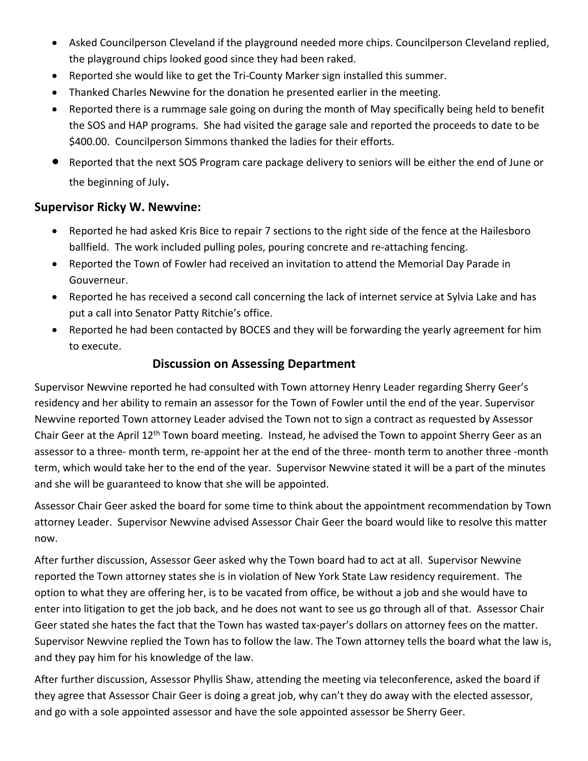- Asked Councilperson Cleveland if the playground needed more chips. Councilperson Cleveland replied, the playground chips looked good since they had been raked.
- Reported she would like to get the Tri-County Marker sign installed this summer.
- Thanked Charles Newvine for the donation he presented earlier in the meeting.
- Reported there is a rummage sale going on during the month of May specifically being held to benefit the SOS and HAP programs. She had visited the garage sale and reported the proceeds to date to be \$400.00. Councilperson Simmons thanked the ladies for their efforts.
- Reported that the next SOS Program care package delivery to seniors will be either the end of June or the beginning of July.

#### **Supervisor Ricky W. Newvine:**

- Reported he had asked Kris Bice to repair 7 sections to the right side of the fence at the Hailesboro ballfield. The work included pulling poles, pouring concrete and re-attaching fencing.
- Reported the Town of Fowler had received an invitation to attend the Memorial Day Parade in Gouverneur.
- Reported he has received a second call concerning the lack of internet service at Sylvia Lake and has put a call into Senator Patty Ritchie's office.
- Reported he had been contacted by BOCES and they will be forwarding the yearly agreement for him to execute.

#### **Discussion on Assessing Department**

Supervisor Newvine reported he had consulted with Town attorney Henry Leader regarding Sherry Geer's residency and her ability to remain an assessor for the Town of Fowler until the end of the year. Supervisor Newvine reported Town attorney Leader advised the Town not to sign a contract as requested by Assessor Chair Geer at the April 12th Town board meeting. Instead, he advised the Town to appoint Sherry Geer as an assessor to a three- month term, re-appoint her at the end of the three- month term to another three -month term, which would take her to the end of the year. Supervisor Newvine stated it will be a part of the minutes and she will be guaranteed to know that she will be appointed.

Assessor Chair Geer asked the board for some time to think about the appointment recommendation by Town attorney Leader. Supervisor Newvine advised Assessor Chair Geer the board would like to resolve this matter now.

After further discussion, Assessor Geer asked why the Town board had to act at all. Supervisor Newvine reported the Town attorney states she is in violation of New York State Law residency requirement. The option to what they are offering her, is to be vacated from office, be without a job and she would have to enter into litigation to get the job back, and he does not want to see us go through all of that. Assessor Chair Geer stated she hates the fact that the Town has wasted tax-payer's dollars on attorney fees on the matter. Supervisor Newvine replied the Town has to follow the law. The Town attorney tells the board what the law is, and they pay him for his knowledge of the law.

After further discussion, Assessor Phyllis Shaw, attending the meeting via teleconference, asked the board if they agree that Assessor Chair Geer is doing a great job, why can't they do away with the elected assessor, and go with a sole appointed assessor and have the sole appointed assessor be Sherry Geer.